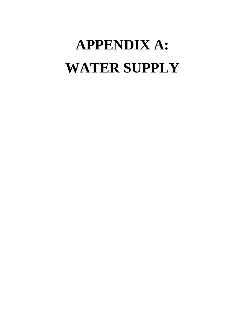# **APPENDIX A: WATER SUPPLY**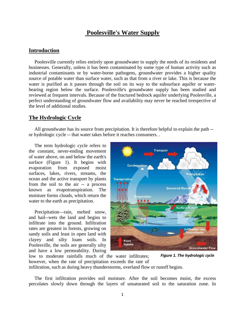# **Poolesville's Water Supply**

# **Introduction**

Poolesville currently relies entirely upon groundwater to supply the needs of its residents and businesses. Generally, unless it has been contaminated by some type of human activity such as industrial contaminants or by water-borne pathogens, groundwater provides a higher quality source of potable water than surface water, such as that from a river or lake. This is because the water is purified as it passes through the soil on its way to the subsurface aquifer or waterbearing region below the surface. Poolesville's groundwater supply has been studied and reviewed at frequent intervals. Because of the fractured bedrock aquifer underlying Poolesville, a perfect understanding of groundwater flow and availability may never be reached irrespective of the level of additional studies.

# **The Hydrologic Cycle**

All groundwater has its source from precipitation. It is therefore helpful to explain the path - or hydrologic cycle -- that water takes before it reaches consumers. .

The term hydrologic cycle refers to the constant, never-ending movement of water above, on and below the earth's surface (Figure 1). It begins with evaporation from exposed moist surfaces, lakes, rivers, streams, the ocean and the active transport by plants from the soil to the air -- a process known as evapotranspiration. The moisture forms clouds, which return the water to the earth as precipitation.

Precipitation—rain, melted snow, and hail--wets the land and begins to infiltrate into the ground. Infiltration rates are greatest in forests, growing on sandy soils and least in open land with clayey and silty loam soils. In Poolesville, the soils are generally silty and have a low permeability. During



low to moderate rainfalls much of the water infiltrates; however, when the rate of precipitation exceeds the rate of infiltration, such as during heavy thunderstorms, overland flow or runoff begins. *Figure 1. The hydrologic cycle*

The first infiltration provides soil moisture. After the soil becomes moist, the excess percolates slowly down through the layers of unsaturated soil to the saturation zone. In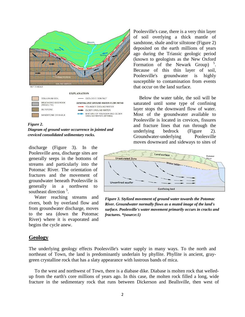

*Figure 2.*

*Diagram of ground water occurrence in jointed and creviced consolidated sedimentary rocks.*

discharge (Figure 3). In the Poolesville area, discharge sites are generally seeps in the bottoms of streams and particularly into the Potomac River. The orientation of fractures and the movement of groundwater beneath Poolesville is generally in a northwest to southeast direction<sup>5</sup>.

Water reaching streams and rivers, both by overland flow and from groundwater discharge, moves to the sea (down the Potomac River) where it is evaporated and begins the cycle anew.

Poolesville's case, there is a very thin layer of soil overlying a thick mantle of sandstone, shale and/or siltstone (Figure 2) deposited on the earth millions of years ago during the Triassic geologic period (known to geologists as the New Oxford Formation of the Newark Group)<sup>5</sup>. Because of this thin layer of soil, Poolesville's groundwater is highly susceptible to contamination from events that occur on the land surface.

Below the water table, the soil will be saturated until some type of confining layer stops the downward flow of water. Most of the groundwater available to Poolesville is located in crevices, fissures and fracture lines that run through the underlying bedrock (Figure 2). Groundwater-underlying Poolesville moves downward and sideways to sites of



*Figure 3. Stylized movement of ground water towards the Potomac River. Groundwater normally flows as a muted image of the land's surface. Poolesville's water movement primarily occurs in cracks and fractures. \*(source:1)*

# **Geology**

The underlying geology effects Poolesville's water supply in many ways. To the north and northeast of Town, the land is predominantly underlain by phyllite. Phyllite is ancient, graygreen crystalline rock that has a slaty appearance with lustrous bands of mica.

To the west and northwest of Town, there is a diabase dike. Diabase is molten rock that welledup from the earth's core millions of years ago. In this case, the molten rock filled a long, wide fracture in the sedimentary rock that runs between Dickerson and Beallsville, then west of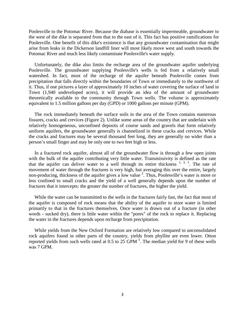Poolesville to the Potomac River. Because the diabase is essentially impermeable, groundwater to the west of the dike is separated from that to the east of it. This fact has positive ramifications for Poolesville. One benefit of this dike's existence is that any groundwater contamination that might arise from leaks in the Dickerson landfill liner will most likely move west and south towards the Potomac River and much less likely contaminate Poolesville's water supply.

Unfortunately, the dike also limits the recharge area of the groundwater aquifer underlying Poolesville. The groundwater supplying Poolesville's wells is fed from a relatively small watershed. In fact, most of the recharge of the aquifer beneath Poolesville comes from precipitation that falls directly within the boundaries of Town or immediately to the northwest of it. Thus, if one pictures a layer of approximately 10 inches of water covering the surface of land in Town (1,940 undeveloped acres), it will provide an idea of the amount of groundwater theoretically available to the community through Town wells. The volume is approximately equivalent to 1.5 million gallons per day (GPD) or 1000 gallons per minute (GPM).

The rock immediately beneath the surface soils in the area of the Town contains numerous fissures, cracks and crevices (Figure 2). Unlike some areas of the country that are underlain with relatively homogeneous, unconfined deposits of course sands and gravels that form relatively uniform aquifers, the groundwater generally is channelized in these cracks and crevices. While the cracks and fractures may be several thousand feet long, they are generally no wider than a person's small finger and may be only one to two feet high or less.

In a fractured rock aquifer, almost all of the groundwater flow is through a few open joints with the bulk of the aquifer contributing very little water. Transmissivity is defined as the rate that the aquifer can deliver water to a well through its entire thickness  $1, 3, 5$ . The rate of movement of water through the fractures is very high, but averaging this over the entire, largely non-producing, thickness of the aquifer gives a low value<sup>2</sup>. Thus, Poolesville's water is more or less confined to small cracks and the yield of a well generally depends upon the number of fractures that it intercepts: the greater the number of fractures, the higher the yield.

While the water can be transmitted to the wells in the fractures fairly fast, the fact that most of the aquifer is composed of rock means that the ability of the aquifer to store water is limited primarily to that in the fractures themselves. Once water is drawn out of a fracture (in other words - sucked dry), there is little water within the "pores" of the rock to replace it. Replacing the water in the fractures depends upon recharge from precipitation.

While yields from the New Oxford Formation are relatively low compared to unconsolidated rock aquifers found in other parts of the country, yields from phyllite are even lower. Otton reported yields from such wells rated at  $0.5$  to  $25$  GPM  $<sup>5</sup>$ . The median yield for 9 of these wells</sup> was 7 GPM.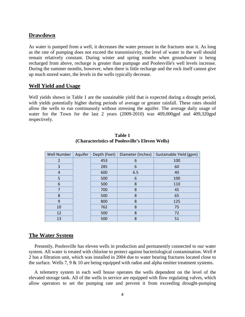#### **Drawdown**

As water is pumped from a well, it decreases the water pressure in the fractures near it. As long as the rate of pumping does not exceed the transmissivity, the level of water in the well should remain relatively constant. During winter and spring months when groundwater is being recharged from above, recharge is greater than pumpage and Poolesville's well levels increase. During the summer months, however, when there is little recharge and the rock itself cannot give up much stored water, the levels in the wells typically decrease.

#### **Well Yield and Usage**

Well yields shown in Table 1 are the sustainable yield that is expected during a drought period, with yields potentially higher during periods of average or greater rainfall. These rates should allow the wells to run continuously without stressing the aquifer. The average daily usage of water for the Town for the last 2 years (2009-2010) was 409,000gpd and 409,320gpd respectively.

| Well Number    | Aquifer | Depth (Feet) | Diameter (Inches) | Sustainable Yield (gpm) |
|----------------|---------|--------------|-------------------|-------------------------|
| 2              |         | 453          | 6                 | 100                     |
| 3              |         | 285          | 6                 | 60                      |
| 4              |         | 600          | 6.5               | 40                      |
| 5              |         | 500          | 6                 | 100                     |
| 6              |         | 500          | 8                 | 110                     |
| $\overline{7}$ |         | 700          | 8                 | 45                      |
| 8              |         | 500          | 8                 | 65                      |
| 9              |         | 800          | 8                 | 125                     |
| 10             |         | 762          | 8                 | 75                      |
| 12             |         | 500          | 8                 | 72                      |
| 13             |         | 500          | 8                 | 51                      |

#### **Table 1 (Characteristics of Poolesville's Eleven Wells)**

#### **The Water System**

Presently, Poolesville has eleven wells in production and permanently connected to our water system. All water is treated with chlorine to protect against bacteriological contamination. Well # 2 has a filtration unit, which was installed in 2004 due to water bearing fractures located close to the surface. Wells 7, 9  $\&$  10 are being equipped with radon and alpha emitter treatment systems.

A telemetry system in each well house operates the wells dependent on the level of the elevated storage tank. All of the wells in service are equipped with flow regulating valves, which allow operators to set the pumping rate and prevent it from exceeding drought-pumping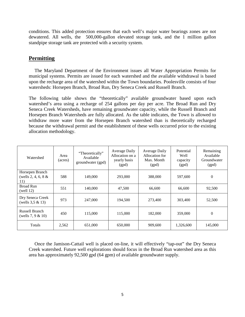conditions. This added protection ensures that each well's major water bearings zones are not dewatered. All wells, the 500,000-gallon elevated storage tank, and the 1 million gallon standpipe storage tank are protected with a security system.

# **Permitting**

The Maryland Department of the Environment issues all Water Appropriation Permits for municipal systems. Permits are issued for each watershed and the available withdrawal is based upon the recharge area of the watershed within the Town boundaries. Poolesville consists of four watersheds: Horsepen Branch, Broad Run, Dry Seneca Creek and Russell Branch.

The following table shows the "theoretically" available groundwater based upon each watershed's area using a recharge of 254 gallons per day per acre. The Broad Run and Dry Seneca Creek Watersheds, have remaining groundwater capacity, while the Russell Branch and Horsepen Branch Watersheds are fully allocated. As the table indicates, the Town is allowed to withdraw more water from the Horsepen Branch watershed than is theoretically recharged because the withdrawal permit and the establishment of these wells occurred prior to the existing allocation methodology.

| Watershed                                       | Area<br>(acres) | "Theoretically"<br>Available<br>groundwater (gpd) | Average Daily<br>Allocation on a<br>yearly basis<br>(gpd) | Average Daily<br>Allocation for<br>Max. Month<br>(gpd) | Potential<br>Well<br>capacity<br>(gpd) | Remaining<br>Available<br>Groundwater<br>(gpd) |
|-------------------------------------------------|-----------------|---------------------------------------------------|-----------------------------------------------------------|--------------------------------------------------------|----------------------------------------|------------------------------------------------|
| Horsepen Branch<br>(wells 2, 4, 6, 8 $&$<br>11) | 588             | 149,000                                           | 293,000                                                   | 388,000                                                | 597,600                                | $\overline{0}$                                 |
| <b>Broad Run</b><br>(well $12$ )                | 551             | 140,000                                           | 47,500                                                    | 66,600                                                 | 66,600                                 | 92,500                                         |
| Dry Seneca Creek<br>(wells $3,5 \& 13$ )        | 973             | 247,000                                           | 194,500                                                   | 273,400                                                | 303,400                                | 52,500                                         |
| Russell Branch<br>(wells $7, 9 & 10$ )          | 450             | 115,000                                           | 115,000                                                   | 182,000                                                | 359,000                                | $\theta$                                       |
| Totals                                          | 2,562           | 651,000                                           | 650,000                                                   | 909,600                                                | 1,326,600                              | 145,000                                        |

Once the Jamison-Cattail well is placed on-line, it will effectively "tap-out" the Dry Seneca Creek watershed. Future well explorations should focus in the Broad Run watershed area as this area has approximately 92,500 gpd (64 gpm) of available groundwater supply.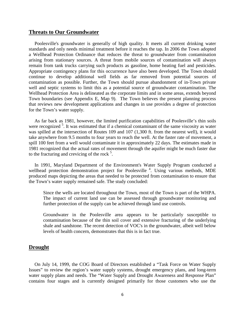#### **Threats to Our Groundwater**

Poolesville's groundwater is generally of high quality. It meets all current drinking water standards and only needs minimal treatment before it reaches the tap. In 2006 the Town adopted a Wellhead Protection Ordinance that reduces the threat to groundwater from contamination arising from stationary sources. A threat from mobile sources of contamination will always remain from tank trucks carrying such products as gasoline, home heating fuel and pesticides. Appropriate contingency plans for this occurrence have also been developed. The Town should continue to develop additional well fields as far removed from potential sources of contamination as possible. Further, the Town should pursue abandonment of in-Town private well and septic systems to limit this as a potential source of groundwater contamination. The Wellhead Protection Area is delineated as the corporate limits and in some areas, extends beyond Town boundaries (see Appendix E, Map 9). The Town believes the present planning process that reviews new development applications and changes in use provides a degree of protection for the Town's water supply.

As far back as 1981, however, the limited purification capabilities of Poolesville's thin soils were recognized<sup>5</sup>. It was estimated that if a chemical contaminant of the same viscosity as water was spilled at the intersection of Routes 109 and 107 (1,300 ft. from the nearest well), it would take anywhere from 9.5 months to four years to reach the well. At the faster rate of movement, a spill 100 feet from a well would contaminate it in approximately 22 days. The estimates made in 1981 recognized that the actual rates of movement through the aquifer might be much faster due to the fracturing and crevicing of the rock  $5$ .

In 1991, Maryland Department of the Environment's Water Supply Program conducted a wellhead protection demonstration project for Poolesville<sup>4</sup>. Using various methods, MDE produced maps depicting the areas that needed to be protected from contamination to ensure that the Town's water supply remained safe. The study concluded:

Since the wells are located throughout the Town, most of the Town is part of the WHPA. The impact of current land use can be assessed through groundwater monitoring and further protection of the supply can be achieved through land use controls.

Groundwater in the Poolesville area appears to be particularly susceptible to contamination because of the thin soil cover and extensive fracturing of the underlying shale and sandstone. The recent detection of VOC's in the groundwater, albeit well below levels of health concern, demonstrates that this is in fact true.

### **Drought**

On July 14, 1999, the COG Board of Directors established a "Task Force on Water Supply Issues" to review the region's water supply systems, drought emergency plans, and long-term water supply plans and needs. The "Water Supply and Drought Awareness and Response Plan" contains four stages and is currently designed primarily for those customers who use the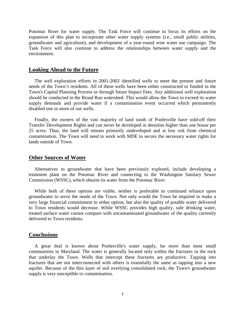Potomac River for water supply. The Task Force will continue to focus its efforts on the expansion of this plan to incorporate other water supply systems (i.e., small public utilities, groundwater and agriculture), and development of a year-round wise water use campaign. The Task Force will also continue to address the relationships between water supply and the environment.

#### **Looking Ahead to the Future**

The well exploration efforts in 2001-2002 identified wells to meet the present and future needs of the Town's residents. All of these wells have been either constructed or funded in the Town's Capital Planning Process or through future Impact Fees. Any additional well exploration should be conducted in the Broad Run watershed. This would allow the Town to exceed its water supply demands and provide water if a contamination event occurred which permanently disabled one or more of our wells.

Finally, the owners of the vast majority of land south of Poolesville have sold-off their Transfer Development Rights and can never be developed in densities higher than one house per 25 acres. Thus, the land will remain primarily undeveloped and at low risk from chemical contamination. The Town will need to work with MDE to secure the necessary water rights for lands outside of Town.

#### **Other Sources of Water**

Alternatives to groundwater that have been previously explored, include developing a treatment plant on the Potomac River and connecting to the Washington Sanitary Sewer Commission (WSSC), which obtains its water from the Potomac River.

While both of these options are viable, neither is preferable to continued reliance upon groundwater to serve the needs of the Town. Not only would the Town be required to make a very large financial commitment to either option, but also the quality of potable water delivered to Town residents would decrease. While WSSC provides high quality, safe drinking water, treated surface water cannot compare with uncontaminated groundwater of the quality currently delivered to Town residents.

#### **Conclusions**

A great deal is known about Poolesville's water supply, far more than most small communities in Maryland. The water is generally located only within the fractures in the rock that underlay the Town. Wells that intercept these fractures are productive. Tapping into fractures that are not interconnected with others is essentially the same as tapping into a new aquifer. Because of the thin layer of soil overlying consolidated rock, the Town's groundwater supply is very susceptible to contamination.